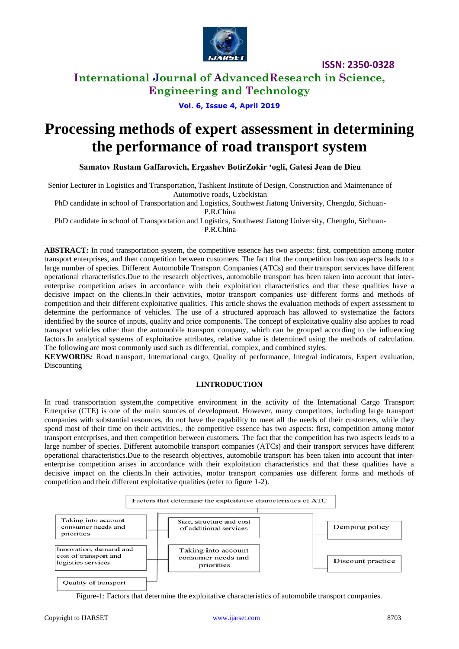

# **International Journal of AdvancedResearch in Science, Engineering and Technology**

**Vol. 6, Issue 4, April 2019**

# **Processing methods of expert assessment in determining the performance of road transport system**

**Samatov Rustam Gaffarovich, Ergashev BotirZokir 'ogli, Gatesi Jean de Dieu**

Senior Lecturer in Logistics and Transportation, Tashkent Institute of Design, Construction and Maintenance of Automotive roads, Uzbekistan

PhD candidate in school of Transportation and Logistics, Southwest Jiatong University, Chengdu, Sichuan-

P.R.China

PhD candidate in school of Transportation and Logistics, Southwest Jiatong University, Chengdu, Sichuan-P.R.China

**ABSTRACT***:* In road transportation system, the competitive essence has two aspects: first, competition among motor transport enterprises, and then competition between customers. The fact that the competition has two aspects leads to a large number of species. Different Automobile Transport Companies (ATCs) and their transport services have different operational characteristics.Due to the research objectives, automobile transport has been taken into account that interenterprise competition arises in accordance with their exploitation characteristics and that these qualities have a decisive impact on the clients.In their activities, motor transport companies use different forms and methods of competition and their different exploitative qualities. This article shows the evaluation methods of expert assessment to determine the performance of vehicles. The use of a structured approach has allowed to systematize the factors identified by the source of inputs, quality and price components. The concept of exploitative quality also applies to road transport vehicles other than the automobile transport company, which can be grouped according to the influencing factors.In analytical systems of exploitative attributes, relative value is determined using the methods of calculation. The following are most commonly used such as differential, complex, and combined styles.

**KEYWORDS***:* Road transport, International cargo, Quality of performance, Integral indicators, Expert evaluation, **Discounting** 

### **I.INTRODUCTION**

In road transportation system,the competitive environment in the activity of the International Cargo Transport Enterprise (CTE) is one of the main sources of development. However, many competitors, including large transport companies with substantial resources, do not have the capability to meet all the needs of their customers, while they spend most of their time on their activities., the competitive essence has two aspects: first, competition among motor transport enterprises, and then competition between customers. The fact that the competition has two aspects leads to a large number of species. Different automobile transport companies (ATCs) and their transport services have different operational characteristics.Due to the research objectives, automobile transport has been taken into account that interenterprise competition arises in accordance with their exploitation characteristics and that these qualities have a decisive impact on the clients.In their activities, motor transport companies use different forms and methods of competition and their different exploitative qualities (refer to figure 1-2).



Figure-1: Factors that determine the exploitative characteristics of automobile transport companies.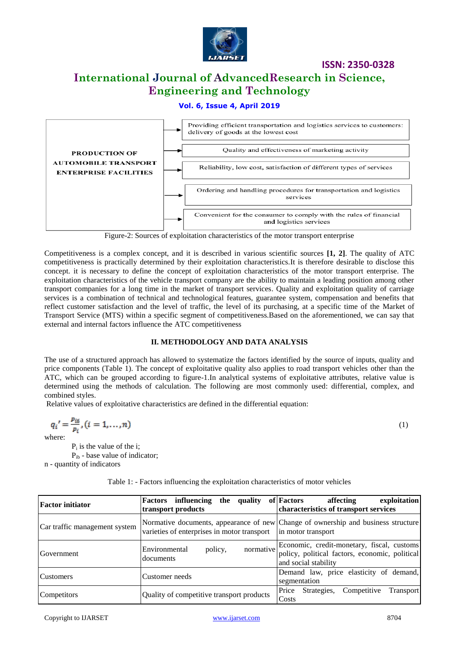

# **International Journal of AdvancedResearch in Science, Engineering and Technology**

### **Vol. 6, Issue 4, April 2019**



Figure-2: Sources of exploitation characteristics of the motor transport enterprise

Competitiveness is a complex concept, and it is described in various scientific sources **[1, 2]**. The quality of ATC competitiveness is practically determined by their exploitation characteristics.It is therefore desirable to disclose this concept. it is necessary to define the concept of exploitation characteristics of the motor transport enterprise. The exploitation characteristics of the vehicle transport company are the ability to maintain a leading position among other transport companies for a long time in the market of transport services. Quality and exploitation quality of carriage services is a combination of technical and technological features, guarantee system, compensation and benefits that reflect customer satisfaction and the level of traffic, the level of its purchasing, at a specific time of the Market of Transport Service (MTS) within a specific segment of competitiveness.Based on the aforementioned, we can say that external and internal factors influence the ATC competitiveness

#### **II. METHODOLOGY AND DATA ANALYSIS**

The use of a structured approach has allowed to systematize the factors identified by the source of inputs, quality and price components (Table 1). The concept of exploitative quality also applies to road transport vehicles other than the ATC, which can be grouped according to figure-1.In analytical systems of exploitative attributes, relative value is determined using the methods of calculation. The following are most commonly used: differential, complex, and combined styles.

Relative values of exploitative characteristics are defined in the differential equation:

$$
q_i' = \frac{p_{i6}}{p_i}, (i = 1, \dots, n)
$$
\n(1)

\nwhere

where:

 $P_i$  is the value of the i; Pib - base value of indicator; n - quantity of indicators

| <b>Factor initiator</b>       | <b>Factors</b> influencing<br>quality<br>the<br>transport products | of Factors<br>affecting<br>exploitation<br>characteristics of transport services                                               |
|-------------------------------|--------------------------------------------------------------------|--------------------------------------------------------------------------------------------------------------------------------|
| Car traffic management system | varieties of enterprises in motor transport                        | Normative documents, appearance of new Change of ownership and business structure<br>in motor transport                        |
| Government                    | Environmental<br>policy,<br>documents                              | normative Economic, credit-monetary, fiscal, customs<br>policy, political factors, economic, political<br>and social stability |
| Customers                     | Customer needs                                                     | Demand law, price elasticity of demand,<br>segmentation                                                                        |
| Competitors                   | Quality of competitive transport products                          | Competitive<br>Price<br>Strategies,<br>Transport<br>Costs                                                                      |

Table 1: - Factors influencing the exploitation characteristics of motor vehicles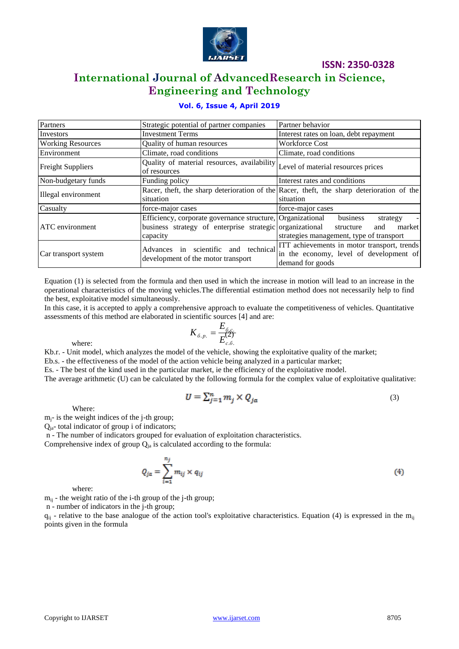

# **International Journal of AdvancedResearch in Science, Engineering and Technology**

### **Vol. 6, Issue 4, April 2019**

| Partners                 | Strategic potential of partner companies                                                                                           | Partner behavior                                                                                             |  |  |  |  |  |  |
|--------------------------|------------------------------------------------------------------------------------------------------------------------------------|--------------------------------------------------------------------------------------------------------------|--|--|--|--|--|--|
| Investors                | <b>Investment Terms</b>                                                                                                            | Interest rates on loan, debt repayment                                                                       |  |  |  |  |  |  |
| <b>Working Resources</b> | Quality of human resources                                                                                                         | <b>Workforce Cost</b>                                                                                        |  |  |  |  |  |  |
| Environment              | Climate, road conditions                                                                                                           | Climate, road conditions                                                                                     |  |  |  |  |  |  |
| <b>Freight Suppliers</b> | Quality of material resources, availability Level of material resources prices<br>of resources                                     |                                                                                                              |  |  |  |  |  |  |
| Non-budgetary funds      | Funding policy                                                                                                                     | Interest rates and conditions                                                                                |  |  |  |  |  |  |
| Illegal environment      | situation                                                                                                                          | Racer, theft, the sharp deterioration of the Racer, theft, the sharp deterioration of the<br>situation       |  |  |  |  |  |  |
| Casualty                 | force-major cases                                                                                                                  | force-major cases                                                                                            |  |  |  |  |  |  |
| ATC environment          | Efficiency, corporate governance structure, Organizational<br>business strategy of enterprise strategic organizational<br>capacity | business<br>strategy<br>$\sim$ $-$<br>market<br>structure<br>and<br>strategies management, type of transport |  |  |  |  |  |  |
| Car transport system     | scientific and technical<br>Advances in<br>development of the motor transport                                                      | ITT achievements in motor transport, trends<br>in the economy, level of development of<br>demand for goods   |  |  |  |  |  |  |

Equation (1) is selected from the formula and then used in which the increase in motion will lead to an increase in the operational characteristics of the moving vehicles.The differential estimation method does not necessarily help to find the best, exploitative model simultaneously.

In this case, it is accepted to apply a comprehensive approach to evaluate the competitiveness of vehicles. Quantitative assessments of this method are elaborated in scientific sources [4] and are:

> (2)  $\cdot \tilde{o}$ .  $\mathcal{L}$ .  $\cdot p$ . *с б б с*  $\frac{6}{p}$   $\frac{p}{E}$  $K_{6n} = \frac{E}{R}$

where:

Kb.r. - Unit model, which analyzes the model of the vehicle, showing the exploitative quality of the market;

Eb.s. - the effectiveness of the model of the action vehicle being analyzed in a particular market;

Es. - The best of the kind used in the particular market, ie the efficiency of the exploitative model.

The average arithmetic (U) can be calculated by the following formula for the complex value of exploitative qualitative:

$$
U = \sum_{j=1}^{n} m_j \times Q_{ja} \tag{3}
$$

Where:

 $m_i$ - is the weight indices of the j-th group;

 $Q<sub>ia</sub>$ - total indicator of group i of indicators;

n - The number of indicators grouped for evaluation of exploitation characteristics.

Comprehensive index of group  $Q_{ia}$  is calculated according to the formula:

$$
Q_{ja} = \sum_{i=1}^{n_j} m_{ij} \times q_{ij}
$$
 (4)

where:

 $m_{ii}$  - the weight ratio of the i-th group of the j-th group;

n - number of indicators in the j-th group;

 $q_{ii}$  - relative to the base analogue of the action tool's exploitative characteristics. Equation (4) is expressed in the m<sub>ii</sub> points given in the formula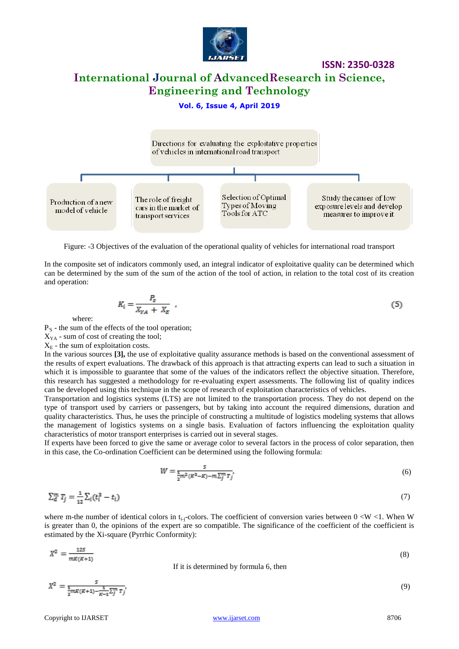

## **International Journal of AdvancedResearch in Science, Engineering and Technology**

#### **Vol. 6, Issue 4, April 2019**



Figure: -3 Objectives of the evaluation of the operational quality of vehicles for international road transport

In the composite set of indicators commonly used, an integral indicator of exploitative quality can be determined which can be determined by the sum of the sum of the action of the tool of action, in relation to the total cost of its creation and operation:

$$
K_i = \frac{P_s}{X_{YA} + X_E} \tag{5}
$$

where:

P<sub>'S</sub> - the sum of the effects of the tool operation;

 $X_{YA}$  - sum of cost of creating the tool;

 $X<sub>E</sub>$  - the sum of exploitation costs.

In the various sources **[3],** the use of exploitative quality assurance methods is based on the conventional assessment of the results of expert evaluations. The drawback of this approach is that attracting experts can lead to such a situation in which it is impossible to guarantee that some of the values of the indicators reflect the objective situation. Therefore, this research has suggested a methodology for re-evaluating expert assessments. The following list of quality indices can be developed using this technique in the scope of research of exploitation characteristics of vehicles.

Transportation and logistics systems (LTS) are not limited to the transportation process. They do not depend on the type of transport used by carriers or passengers, but by taking into account the required dimensions, duration and quality characteristics. Thus, he uses the principle of constructing a multitude of logistics modeling systems that allows the management of logistics systems on a single basis. Evaluation of factors influencing the exploitation quality characteristics of motor transport enterprises is carried out in several stages.

If experts have been forced to give the same or average color to several factors in the process of color separation, then in this case, the Co-ordination Coefficient can be determined using the following formula:

$$
W = \frac{s}{\frac{1}{2}m^2(k^2 - K) - m\sum_{j=1}^{m} \tau_j},
$$
\n(6)

$$
\sum_{d}^{m} T_{j} = \frac{1}{12} \sum_{i} (t_{i}^{3} - t_{i})
$$
\n(7)

where m-the number of identical colors in  $t_{i-j}$ -colors. The coefficient of conversion varies between  $0 < W < 1$ . When W is greater than 0, the opinions of the expert are so compatible. The significance of the coefficient of the coefficient is estimated by the Xi-square (Pyrrhic Conformity):

$$
X^{2} = \frac{125}{mK(K+1)}
$$
 If it is determined by formula 6, then\n
$$
\tag{8}
$$

(9)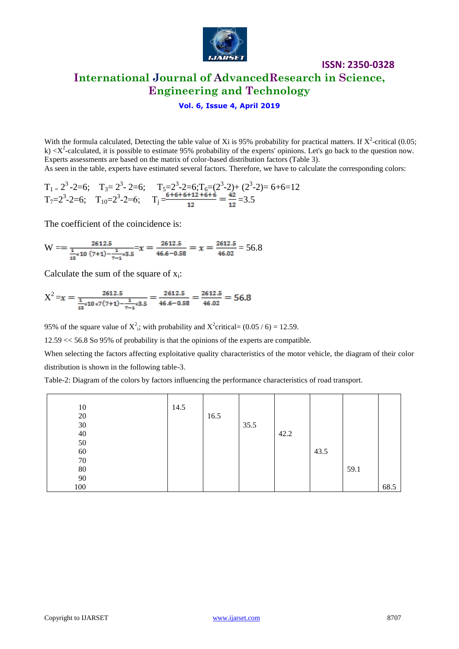

# **ISSN: 2350-0328 International Journal of AdvancedResearch in Science, Engineering and Technology**

### **Vol. 6, Issue 4, April 2019**

With the formula calculated, Detecting the table value of Xi is 95% probability for practical matters. If  $X^2$ -critical (0.05; k)  $\langle X^2$ -calculated, it is possible to estimate 95% probability of the experts' opinions. Let's go back to the question now. Experts assessments are based on the matrix of color-based distribution factors (Table 3). As seen in the table, experts have estimated several factors. Therefore, we have to calculate the corresponding colors:

$$
T_{1} = 2^{3} - 2 = 6; \quad T_{3} = 2^{3} - 2 = 6; \quad T_{5} = 2^{3} - 2 = 6; T_{6} = (2^{3} - 2) + (2^{3} - 2) = 6 + 6 = 12
$$
\n
$$
T_{7} = 2^{3} - 2 = 6; \quad T_{10} = 2^{3} - 2 = 6; \quad T_{j} = \frac{6 + 6 + 6 + 12 + 6 + 6}{12} = \frac{42}{12} = 3.5
$$

The coefficient of the coincidence is:

$$
W = \frac{2612.5}{\frac{1}{12} \times 10 \ (7+1) - \frac{1}{7-1} \times 3.5} = x = \frac{2612.5}{46.6 - 0.58} = x = \frac{2612.5}{46.02} = 56.8
$$

Calculate the sum of the square of  $x_i$ :

$$
X^{2} = x = \frac{2612.5}{\frac{1}{12} \times 10 \times 7(7+1) - \frac{1}{7-1} \times 3.5} = \frac{2612.5}{46.6 - 0.58} = \frac{2612.5}{46.02} = 56.8
$$

95% of the square value of  $X^2$ ; with probability and  $X^2$ critical= (0.05 / 6) = 12.59.

12.59 << 56.8 So 95% of probability is that the opinions of the experts are compatible.

When selecting the factors affecting exploitative quality characteristics of the motor vehicle, the diagram of their color distribution is shown in the following table-3.

Table-2: Diagram of the colors by factors influencing the performance characteristics of road transport.

| 10     | 14.5 |      |      |      |      |      |      |
|--------|------|------|------|------|------|------|------|
| $20\,$ |      | 16.5 |      |      |      |      |      |
| $30\,$ |      |      | 35.5 |      |      |      |      |
| 40     |      |      |      | 42.2 |      |      |      |
| 50     |      |      |      |      |      |      |      |
| $60\,$ |      |      |      |      | 43.5 |      |      |
| $70\,$ |      |      |      |      |      |      |      |
| $80\,$ |      |      |      |      |      | 59.1 |      |
| 90     |      |      |      |      |      |      |      |
| 100    |      |      |      |      |      |      | 68.5 |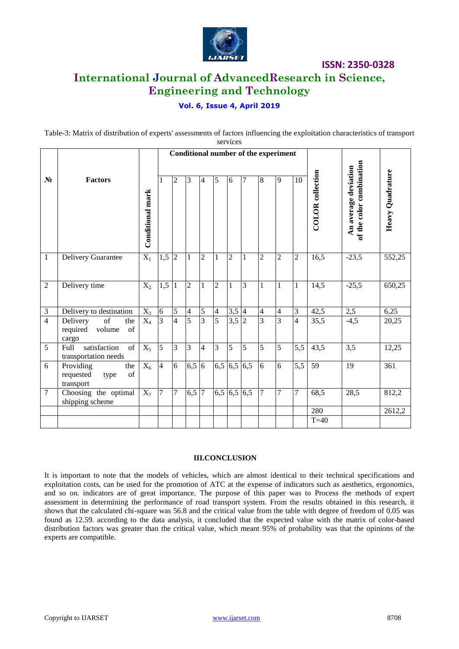

# **International Journal of AdvancedResearch in Science, Engineering and Technology**

### **Vol. 6, Issue 4, April 2019**

Table-3: Matrix of distribution of experts' assessments of factors influencing the exploitation characteristics of transport services

|                |                                                                    |                  | <b>Conditional number of the experiment</b> |                |                |                |                |                |                |                |                |                |                         |                                                  |                  |
|----------------|--------------------------------------------------------------------|------------------|---------------------------------------------|----------------|----------------|----------------|----------------|----------------|----------------|----------------|----------------|----------------|-------------------------|--------------------------------------------------|------------------|
| $N_2$          | <b>Factors</b>                                                     | Conditional mark | 1                                           | $\overline{2}$ | 3              | $\overline{4}$ | 5              | 6              | $\overline{7}$ | 8              | 9              | 10             | <b>COLOR</b> collection | of the color combination<br>An average deviation | Heavy Quadrature |
| $\mathbf{1}$   | Delivery Guarantee                                                 | $X_1$            | 1,5                                         | $\overline{2}$ | $\mathbf{1}$   | $\sqrt{2}$     | 1              | $\overline{2}$ | 1              | $\overline{c}$ | $\overline{c}$ | $\overline{2}$ | 16,5                    | $-23,5$                                          | 552,25           |
| 2              | Delivery time                                                      | $X_2$            | 1,5                                         | $\mathbf{1}$   | $\overline{2}$ | 1              | $\overline{2}$ | $\mathbf{1}$   | 3              | $\mathbf{1}$   | 1              | $\mathbf{1}$   | 14,5                    | $-25,5$                                          | 650,25           |
| 3              | Delivery to destination                                            | $X_3$            | 6                                           | 5              | $\overline{4}$ | 5              | 4              | 3,5            | $\overline{4}$ | $\overline{4}$ | 4              | 3              | 42,5                    | $2,5$                                            | 6,25             |
| $\overline{4}$ | $\sigma f$<br>Delivery<br>the<br>of<br>required<br>volume<br>cargo | $\overline{X_4}$ | $\overline{3}$                              | $\overline{4}$ | $\overline{5}$ | $\overline{3}$ | $\overline{5}$ | 3,5            | $\overline{2}$ | $\overline{3}$ | $\overline{3}$ | $\overline{4}$ | 35,5                    | $-4,5$                                           | 20,25            |
| 5              | satisfaction<br>of<br>Full<br>transportation needs                 | $X_5$            | 5                                           | 3              | 3              | $\overline{4}$ | 3              | 5              | 5              | 5              | 5              | 5,5            | 43,5                    | 3,5                                              | 12,25            |
| 6              | Providing<br>the<br>of<br>requested<br>type<br>transport           | $X_6$            | $\overline{4}$                              | 6              | 6,5            | 6              | 6,5            | 6,5            | 6,5            | 6              | $\overline{6}$ | 5,5            | 59                      | 19                                               | 361              |
| $\tau$         | Choosing the optimal<br>shipping scheme                            | $X_7$            | 7                                           | $\overline{7}$ | 6,5            | $\overline{7}$ | 6,5            | 6,5            | 6,5            | $\overline{7}$ | 7              | 7              | 68,5                    | 28,5                                             | 812,2            |
|                |                                                                    |                  |                                             |                |                |                |                |                |                |                |                |                | 280                     |                                                  | 2612,2           |
|                |                                                                    |                  |                                             |                |                |                |                |                |                |                |                |                | $T=40$                  |                                                  |                  |

#### **III.CONCLUSION**

It is important to note that the models of vehicles, which are almost identical to their technical specifications and exploitation costs, can be used for the promotion of ATC at the expense of indicators such as aesthetics, ergonomics, and so on. indicators are of great importance. The purpose of this paper was to Process the methods of expert assessment in determining the performance of road transport system. From the results obtained in this research, it shows that the calculated chi-square was 56.8 and the critical value from the table with degree of freedom of 0.05 was found as 12.59. according to the data analysis, it concluded that the expected value with the matrix of color-based distribution factors was greater than the critical value, which meant 95% of probability was that the opinions of the experts are compatible.